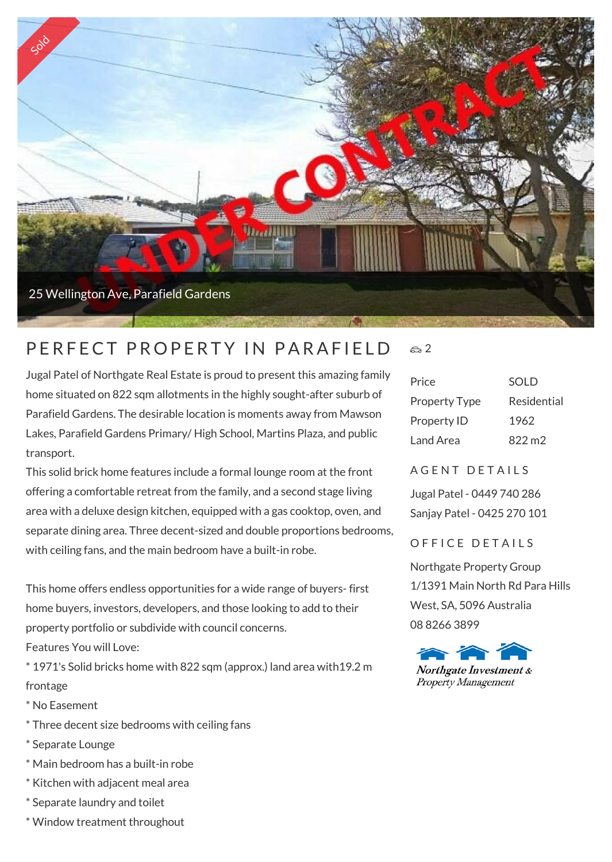

#### P F R F F C T P R O P F R T Y IN P A R A F I F I D  $\approx$  2

Jugal Patel of Northgate Real Estate is proud to present this amazing family home situated on 822 sqm allotments in the highly sought-after suburb of Parafield Gardens. The desirable location is moments away from Mawson Lakes, Parafield Gardens Primary/ High School, Martins Plaza, and public transport.

This solid brick home features include a formal lounge room at the front offering a comfortable retreat from the family, and a second stage living area with a deluxe design kitchen, equipped with a gas cooktop, oven, and separate dining area. Three decent-sized and double proportions bedrooms, with ceiling fans, and the main bedroom have a built-in robe.

This home offers endless opportunities for a wide range of buyers- first home buyers, investors, developers, and those looking to add to their property portfolio or subdivide with council concerns. Features You will Love:

\* 1971's Solid bricks home with 822 sqm (approx.) land area with19.2 m frontage

- \* No Easement
- \* Three decent size bedrooms with ceiling fans
- \* Separate Lounge
- \* Main bedroom has a built-in robe
- \* Kitchen with adjacent meal area
- \* Separate laundry and toilet
- \* Window treatment throughout

# Price SOLD Property Type Residential Property ID 1962 Land Area 822 m<sub>2</sub>

### A G E N T D E T A I L S

Jugal Patel - 0449 740 286 Sanjay Patel - 0425 270 101

### OFFICE DETAILS

Northgate Property Group 1/1391 Main North Rd Para Hills West, SA, 5096 Australia 08 8266 3899